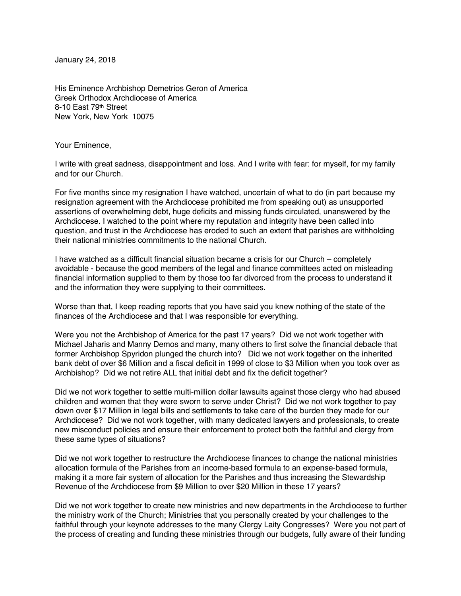January 24, 2018

His Eminence Archbishop Demetrios Geron of America Greek Orthodox Archdiocese of America 8-10 East 79th Street New York, New York 10075

Your Eminence,

I write with great sadness, disappointment and loss. And I write with fear: for myself, for my family and for our Church.

For five months since my resignation I have watched, uncertain of what to do (in part because my resignation agreement with the Archdiocese prohibited me from speaking out) as unsupported assertions of overwhelming debt, huge deficits and missing funds circulated, unanswered by the Archdiocese. I watched to the point where my reputation and integrity have been called into question, and trust in the Archdiocese has eroded to such an extent that parishes are withholding their national ministries commitments to the national Church.

I have watched as a difficult financial situation became a crisis for our Church – completely avoidable - because the good members of the legal and finance committees acted on misleading financial information supplied to them by those too far divorced from the process to understand it and the information they were supplying to their committees.

Worse than that, I keep reading reports that you have said you knew nothing of the state of the finances of the Archdiocese and that I was responsible for everything.

Were you not the Archbishop of America for the past 17 years? Did we not work together with Michael Jaharis and Manny Demos and many, many others to first solve the financial debacle that former Archbishop Spyridon plunged the church into? Did we not work together on the inherited bank debt of over \$6 Million and a fiscal deficit in 1999 of close to \$3 Million when you took over as Archbishop? Did we not retire ALL that initial debt and fix the deficit together?

Did we not work together to settle multi-million dollar lawsuits against those clergy who had abused children and women that they were sworn to serve under Christ? Did we not work together to pay down over \$17 Million in legal bills and settlements to take care of the burden they made for our Archdiocese? Did we not work together, with many dedicated lawyers and professionals, to create new misconduct policies and ensure their enforcement to protect both the faithful and clergy from these same types of situations?

Did we not work together to restructure the Archdiocese finances to change the national ministries allocation formula of the Parishes from an income-based formula to an expense-based formula, making it a more fair system of allocation for the Parishes and thus increasing the Stewardship Revenue of the Archdiocese from \$9 Million to over \$20 Million in these 17 years?

Did we not work together to create new ministries and new departments in the Archdiocese to further the ministry work of the Church; Ministries that you personally created by your challenges to the faithful through your keynote addresses to the many Clergy Laity Congresses? Were you not part of the process of creating and funding these ministries through our budgets, fully aware of their funding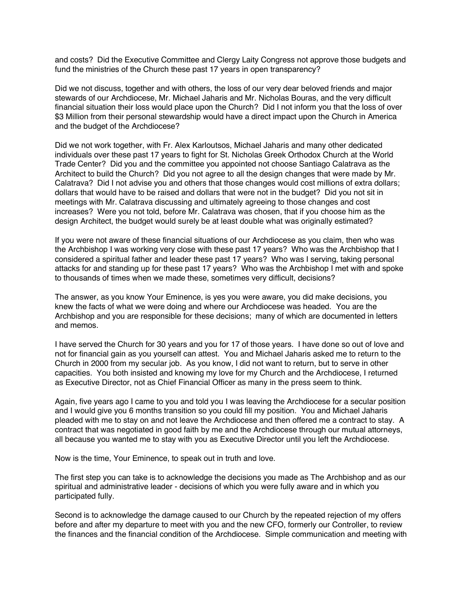and costs? Did the Executive Committee and Clergy Laity Congress not approve those budgets and fund the ministries of the Church these past 17 years in open transparency?

Did we not discuss, together and with others, the loss of our very dear beloved friends and major stewards of our Archdiocese, Mr. Michael Jaharis and Mr. Nicholas Bouras, and the very difficult financial situation their loss would place upon the Church? Did I not inform you that the loss of over \$3 Million from their personal stewardship would have a direct impact upon the Church in America and the budget of the Archdiocese?

Did we not work together, with Fr. Alex Karloutsos, Michael Jaharis and many other dedicated individuals over these past 17 years to fight for St. Nicholas Greek Orthodox Church at the World Trade Center? Did you and the committee you appointed not choose Santiago Calatrava as the Architect to build the Church? Did you not agree to all the design changes that were made by Mr. Calatrava? Did I not advise you and others that those changes would cost millions of extra dollars; dollars that would have to be raised and dollars that were not in the budget? Did you not sit in meetings with Mr. Calatrava discussing and ultimately agreeing to those changes and cost increases? Were you not told, before Mr. Calatrava was chosen, that if you choose him as the design Architect, the budget would surely be at least double what was originally estimated?

If you were not aware of these financial situations of our Archdiocese as you claim, then who was the Archbishop I was working very close with these past 17 years? Who was the Archbishop that I considered a spiritual father and leader these past 17 years? Who was I serving, taking personal attacks for and standing up for these past 17 years? Who was the Archbishop I met with and spoke to thousands of times when we made these, sometimes very difficult, decisions?

The answer, as you know Your Eminence, is yes you were aware, you did make decisions, you knew the facts of what we were doing and where our Archdiocese was headed. You are the Archbishop and you are responsible for these decisions; many of which are documented in letters and memos.

I have served the Church for 30 years and you for 17 of those years. I have done so out of love and not for financial gain as you yourself can attest. You and Michael Jaharis asked me to return to the Church in 2000 from my secular job. As you know, I did not want to return, but to serve in other capacities. You both insisted and knowing my love for my Church and the Archdiocese, I returned as Executive Director, not as Chief Financial Officer as many in the press seem to think.

Again, five years ago I came to you and told you I was leaving the Archdiocese for a secular position and I would give you 6 months transition so you could fill my position. You and Michael Jaharis pleaded with me to stay on and not leave the Archdiocese and then offered me a contract to stay. A contract that was negotiated in good faith by me and the Archdiocese through our mutual attorneys, all because you wanted me to stay with you as Executive Director until you left the Archdiocese.

Now is the time, Your Eminence, to speak out in truth and love.

The first step you can take is to acknowledge the decisions you made as The Archbishop and as our spiritual and administrative leader - decisions of which you were fully aware and in which you participated fully.

Second is to acknowledge the damage caused to our Church by the repeated rejection of my offers before and after my departure to meet with you and the new CFO, formerly our Controller, to review the finances and the financial condition of the Archdiocese. Simple communication and meeting with